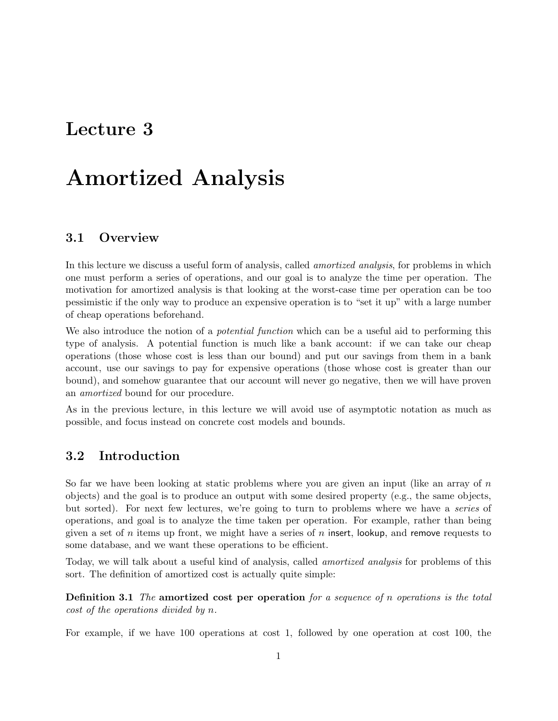## Lecture 3

# Amortized Analysis

#### 3.1 Overview

In this lecture we discuss a useful form of analysis, called *amortized analysis*, for problems in which one must perform a series of operations, and our goal is to analyze the time per operation. The motivation for amortized analysis is that looking at the worst-case time per operation can be too pessimistic if the only way to produce an expensive operation is to "set it up" with a large number of cheap operations beforehand.

We also introduce the notion of a *potential function* which can be a useful aid to performing this type of analysis. A potential function is much like a bank account: if we can take our cheap operations (those whose cost is less than our bound) and put our savings from them in a bank account, use our savings to pay for expensive operations (those whose cost is greater than our bound), and somehow guarantee that our account will never go negative, then we will have proven an amortized bound for our procedure.

As in the previous lecture, in this lecture we will avoid use of asymptotic notation as much as possible, and focus instead on concrete cost models and bounds.

### 3.2 Introduction

So far we have been looking at static problems where you are given an input (like an array of  $n$ ) objects) and the goal is to produce an output with some desired property (e.g., the same objects, but sorted). For next few lectures, we're going to turn to problems where we have a series of operations, and goal is to analyze the time taken per operation. For example, rather than being given a set of n items up front, we might have a series of n insert, lookup, and remove requests to some database, and we want these operations to be efficient.

Today, we will talk about a useful kind of analysis, called amortized analysis for problems of this sort. The definition of amortized cost is actually quite simple:

Definition 3.1 The amortized cost per operation for a sequence of n operations is the total cost of the operations divided by n.

For example, if we have 100 operations at cost 1, followed by one operation at cost 100, the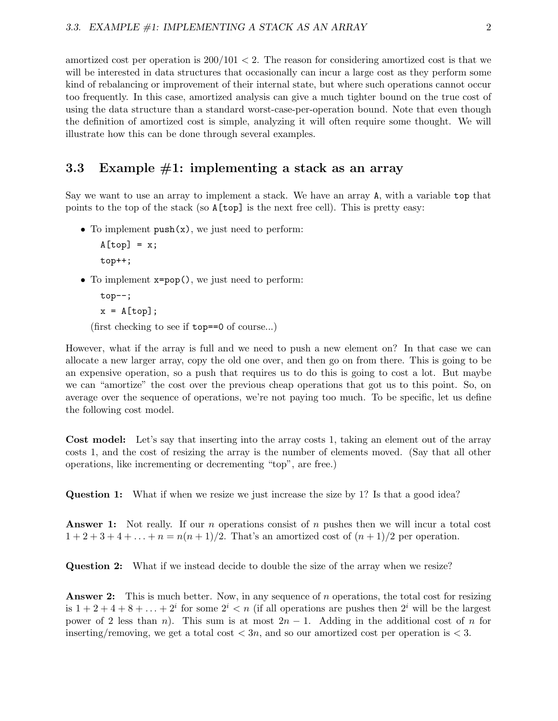amortized cost per operation is  $200/101 < 2$ . The reason for considering amortized cost is that we will be interested in data structures that occasionally can incur a large cost as they perform some kind of rebalancing or improvement of their internal state, but where such operations cannot occur too frequently. In this case, amortized analysis can give a much tighter bound on the true cost of using the data structure than a standard worst-case-per-operation bound. Note that even though the definition of amortized cost is simple, analyzing it will often require some thought. We will illustrate how this can be done through several examples.

#### 3.3 Example  $\#1$ : implementing a stack as an array

Say we want to use an array to implement a stack. We have an array A, with a variable top that points to the top of the stack (so A[top] is the next free cell). This is pretty easy:

• To implement  $push(x)$ , we just need to perform:

```
A[top] = x;top++;
```
• To implement  $x = pop($ , we just need to perform:

```
top--;
x = A[top];
```
(first checking to see if top==0 of course...)

However, what if the array is full and we need to push a new element on? In that case we can allocate a new larger array, copy the old one over, and then go on from there. This is going to be an expensive operation, so a push that requires us to do this is going to cost a lot. But maybe we can "amortize" the cost over the previous cheap operations that got us to this point. So, on average over the sequence of operations, we're not paying too much. To be specific, let us define the following cost model.

Cost model: Let's say that inserting into the array costs 1, taking an element out of the array costs 1, and the cost of resizing the array is the number of elements moved. (Say that all other operations, like incrementing or decrementing "top", are free.)

Question 1: What if when we resize we just increase the size by 1? Is that a good idea?

**Answer 1:** Not really. If our *n* operations consist of *n* pushes then we will incur a total cost  $1+2+3+4+\ldots+n=n(n+1)/2$ . That's an amortized cost of  $(n+1)/2$  per operation.

Question 2: What if we instead decide to double the size of the array when we resize?

Answer 2: This is much better. Now, in any sequence of n operations, the total cost for resizing is  $1+2+4+8+\ldots+2^i$  for some  $2^i < n$  (if all operations are pushes then  $2^i$  will be the largest power of 2 less than n). This sum is at most  $2n - 1$ . Adding in the additional cost of n for inserting/removing, we get a total cost  $\langle 3n, \rangle$  and so our amortized cost per operation is  $\langle 3n, \rangle$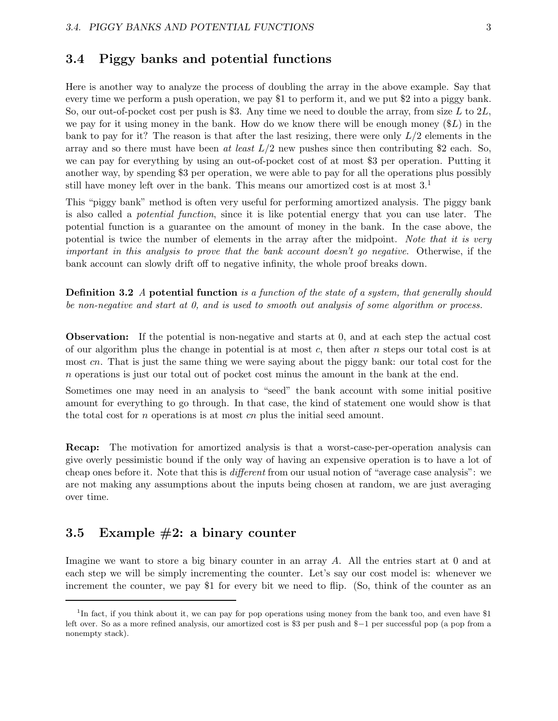#### 3.4 Piggy banks and potential functions

Here is another way to analyze the process of doubling the array in the above example. Say that every time we perform a push operation, we pay \$1 to perform it, and we put \$2 into a piggy bank. So, our out-of-pocket cost per push is \$3. Any time we need to double the array, from size L to  $2L$ , we pay for it using money in the bank. How do we know there will be enough money  $(\$L)$  in the bank to pay for it? The reason is that after the last resizing, there were only  $L/2$  elements in the array and so there must have been at least  $L/2$  new pushes since then contributing \$2 each. So, we can pay for everything by using an out-of-pocket cost of at most \$3 per operation. Putting it another way, by spending \$3 per operation, we were able to pay for all the operations plus possibly still have money left over in the bank. This means our amortized cost is at most 3.<sup>1</sup>

This "piggy bank" method is often very useful for performing amortized analysis. The piggy bank is also called a potential function, since it is like potential energy that you can use later. The potential function is a guarantee on the amount of money in the bank. In the case above, the potential is twice the number of elements in the array after the midpoint. Note that it is very important in this analysis to prove that the bank account doesn't go negative. Otherwise, if the bank account can slowly drift off to negative infinity, the whole proof breaks down.

**Definition 3.2** A potential function is a function of the state of a system, that generally should be non-negative and start at 0, and is used to smooth out analysis of some algorithm or process.

Observation: If the potential is non-negative and starts at 0, and at each step the actual cost of our algorithm plus the change in potential is at most  $c$ , then after  $n$  steps our total cost is at most cn. That is just the same thing we were saying about the piggy bank: our total cost for the n operations is just our total out of pocket cost minus the amount in the bank at the end.

Sometimes one may need in an analysis to "seed" the bank account with some initial positive amount for everything to go through. In that case, the kind of statement one would show is that the total cost for n operations is at most cn plus the initial seed amount.

Recap: The motivation for amortized analysis is that a worst-case-per-operation analysis can give overly pessimistic bound if the only way of having an expensive operation is to have a lot of cheap ones before it. Note that this is different from our usual notion of "average case analysis": we are not making any assumptions about the inputs being chosen at random, we are just averaging over time.

#### 3.5 Example  $#2$ : a binary counter

Imagine we want to store a big binary counter in an array A. All the entries start at 0 and at each step we will be simply incrementing the counter. Let's say our cost model is: whenever we increment the counter, we pay \$1 for every bit we need to flip. (So, think of the counter as an

<sup>&</sup>lt;sup>1</sup>In fact, if you think about it, we can pay for pop operations using money from the bank too, and even have \$1 left over. So as a more refined analysis, our amortized cost is \$3 per push and \$−1 per successful pop (a pop from a nonempty stack).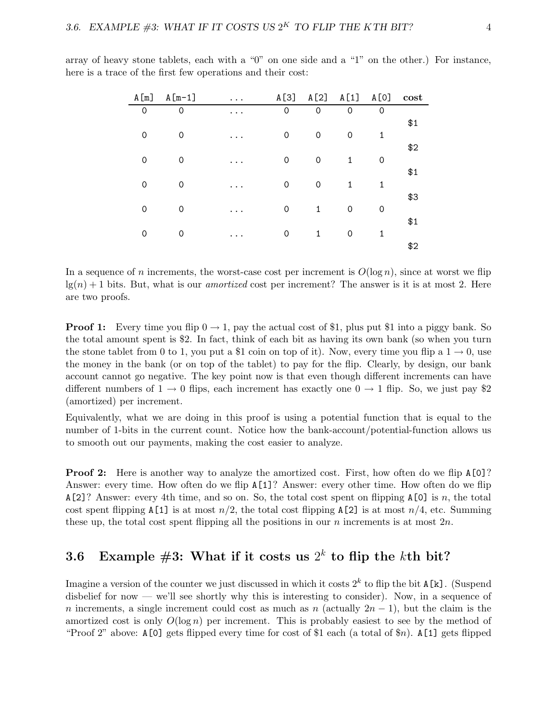| cost | A[O] | A[1]        | A[2]        | A[3]        | $\cdots$ | $A[m-1]$    | A[m]        |
|------|------|-------------|-------------|-------------|----------|-------------|-------------|
|      | 0    | 0           | 0           | 0           | .        | 0           | 0           |
| \$1  |      |             |             |             |          |             |             |
|      | 1    | $\mathbf 0$ | $\mathbf 0$ | 0           | .        | $\mathbf 0$ | $\mathbf 0$ |
| \$2  |      |             |             |             |          |             |             |
|      | 0    | 1           | $\mathbf 0$ | $\mathbf 0$ | .        | $\mathbf 0$ | 0           |
| \$1  | 1    | 1           | $\mathbf 0$ | 0           |          | 0           | $\mathbf 0$ |
| \$3  |      |             |             |             | .        |             |             |
|      | 0    | $\mathbf 0$ | 1           | 0           | .        | 0           | $\mathbf 0$ |
| \$1  |      |             |             |             |          |             |             |
|      | 1    | $\mathbf 0$ | 1           | 0           | .        | 0           | $\mathbf 0$ |
| \$2  |      |             |             |             |          |             |             |

array of heavy stone tablets, each with a "0" on one side and a "1" on the other.) For instance, here is a trace of the first few operations and their cost:

In a sequence of n increments, the worst-case cost per increment is  $O(\log n)$ , since at worst we flip  $\lg(n) + 1$  bits. But, what is our *amortized* cost per increment? The answer is it is at most 2. Here are two proofs.

**Proof 1:** Every time you flip  $0 \rightarrow 1$ , pay the actual cost of \$1, plus put \$1 into a piggy bank. So the total amount spent is \$2. In fact, think of each bit as having its own bank (so when you turn the stone tablet from 0 to 1, you put a \$1 coin on top of it). Now, every time you flip a  $1 \rightarrow 0$ , use the money in the bank (or on top of the tablet) to pay for the flip. Clearly, by design, our bank account cannot go negative. The key point now is that even though different increments can have different numbers of  $1 \rightarrow 0$  flips, each increment has exactly one  $0 \rightarrow 1$  flip. So, we just pay \$2 (amortized) per increment.

Equivalently, what we are doing in this proof is using a potential function that is equal to the number of 1-bits in the current count. Notice how the bank-account/potential-function allows us to smooth out our payments, making the cost easier to analyze.

**Proof 2:** Here is another way to analyze the amortized cost. First, how often do we flip  $A[0]$ ? Answer: every time. How often do we flip A[1]? Answer: every other time. How often do we flip  $A[2]$ ? Answer: every 4th time, and so on. So, the total cost spent on flipping  $A[0]$  is n, the total cost spent flipping  $A[1]$  is at most  $n/2$ , the total cost flipping  $A[2]$  is at most  $n/4$ , etc. Summing these up, the total cost spent flipping all the positions in our n increments is at most  $2n$ .

## 3.6 Example #3: What if it costs us  $2^k$  to flip the kth bit?

Imagine a version of the counter we just discussed in which it costs  $2^k$  to flip the bit A[k]. (Suspend disbelief for now — we'll see shortly why this is interesting to consider). Now, in a sequence of n increments, a single increment could cost as much as n (actually  $2n - 1$ ), but the claim is the amortized cost is only  $O(\log n)$  per increment. This is probably easiest to see by the method of "Proof 2" above:  $A[0]$  gets flipped every time for cost of \$1 each (a total of \$n).  $A[1]$  gets flipped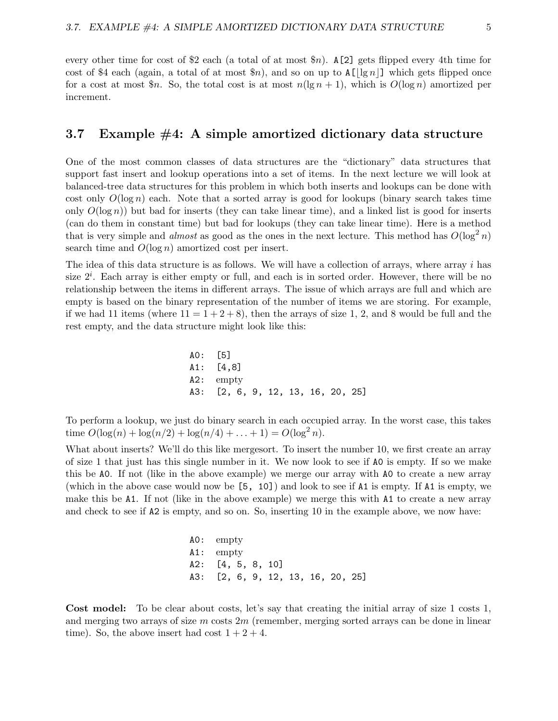every other time for cost of \$2 each (a total of at most  $n$ ). A[2] gets flipped every 4th time for cost of \$4 each (again, a total of at most  $\Omega$ ), and so on up to A[ $\left|\lg n\right|$ ] which gets flipped once for a cost at most  $n$ . So, the total cost is at most  $n(\lg n + 1)$ , which is  $O(\log n)$  amortized per increment.

#### 3.7 Example #4: A simple amortized dictionary data structure

One of the most common classes of data structures are the "dictionary" data structures that support fast insert and lookup operations into a set of items. In the next lecture we will look at balanced-tree data structures for this problem in which both inserts and lookups can be done with cost only  $O(\log n)$  each. Note that a sorted array is good for lookups (binary search takes time only  $O(\log n)$  but bad for inserts (they can take linear time), and a linked list is good for inserts (can do them in constant time) but bad for lookups (they can take linear time). Here is a method that is very simple and *almost* as good as the ones in the next lecture. This method has  $O(\log^2 n)$ search time and  $O(\log n)$  amortized cost per insert.

The idea of this data structure is as follows. We will have a collection of arrays, where array i has size  $2^i$ . Each array is either empty or full, and each is in sorted order. However, there will be no relationship between the items in different arrays. The issue of which arrays are full and which are empty is based on the binary representation of the number of items we are storing. For example, if we had 11 items (where  $11 = 1 + 2 + 8$ ), then the arrays of size 1, 2, and 8 would be full and the rest empty, and the data structure might look like this:

> A0: [5] A1: [4,8] A2: empty A3: [2, 6, 9, 12, 13, 16, 20, 25]

To perform a lookup, we just do binary search in each occupied array. In the worst case, this takes time  $O(\log(n) + \log(n/2) + \log(n/4) + \ldots + 1) = O(\log^2 n)$ .

What about inserts? We'll do this like mergesort. To insert the number 10, we first create an array of size 1 that just has this single number in it. We now look to see if A0 is empty. If so we make this be A0. If not (like in the above example) we merge our array with A0 to create a new array (which in the above case would now be [5, 10]) and look to see if A1 is empty. If A1 is empty, we make this be A1. If not (like in the above example) we merge this with A1 to create a new array and check to see if A2 is empty, and so on. So, inserting 10 in the example above, we now have:

> A0: empty A1: empty A2: [4, 5, 8, 10] A3: [2, 6, 9, 12, 13, 16, 20, 25]

Cost model: To be clear about costs, let's say that creating the initial array of size 1 costs 1, and merging two arrays of size  $m$  costs  $2m$  (remember, merging sorted arrays can be done in linear time). So, the above insert had cost  $1 + 2 + 4$ .